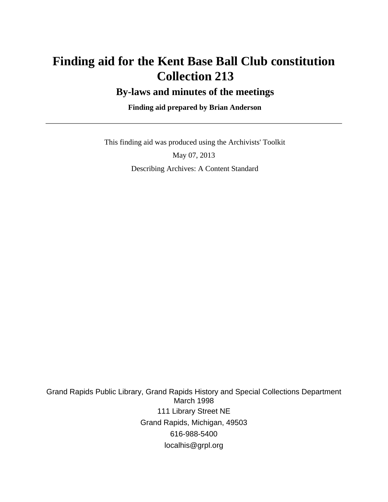# **Finding aid for the Kent Base Ball Club constitution Collection 213**

### **By-laws and minutes of the meetings**

### **Finding aid prepared by Brian Anderson**

 This finding aid was produced using the Archivists' Toolkit May 07, 2013 Describing Archives: A Content Standard

Grand Rapids Public Library, Grand Rapids History and Special Collections Department March 1998 111 Library Street NE Grand Rapids, Michigan, 49503 616-988-5400 localhis@grpl.org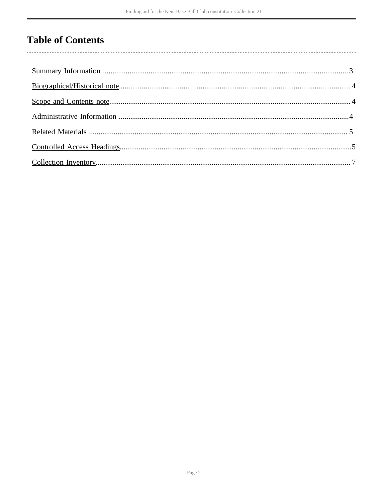# **Table of Contents**

 $\overline{\phantom{a}}$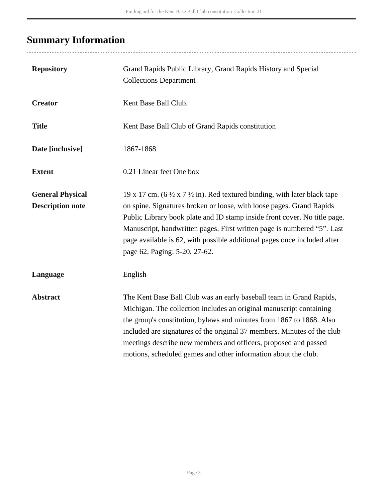# <span id="page-2-0"></span>**Summary Information**

| <b>Repository</b>                                  | Grand Rapids Public Library, Grand Rapids History and Special<br><b>Collections Department</b>                                                                                                                                                                                                                                                                                                                                               |
|----------------------------------------------------|----------------------------------------------------------------------------------------------------------------------------------------------------------------------------------------------------------------------------------------------------------------------------------------------------------------------------------------------------------------------------------------------------------------------------------------------|
| <b>Creator</b>                                     | Kent Base Ball Club.                                                                                                                                                                                                                                                                                                                                                                                                                         |
| <b>Title</b>                                       | Kent Base Ball Club of Grand Rapids constitution                                                                                                                                                                                                                                                                                                                                                                                             |
| Date [inclusive]                                   | 1867-1868                                                                                                                                                                                                                                                                                                                                                                                                                                    |
| <b>Extent</b>                                      | 0.21 Linear feet One box                                                                                                                                                                                                                                                                                                                                                                                                                     |
| <b>General Physical</b><br><b>Description note</b> | 19 x 17 cm. (6 $\frac{1}{2}$ x 7 $\frac{1}{2}$ in). Red textured binding, with later black tape<br>on spine. Signatures broken or loose, with loose pages. Grand Rapids<br>Public Library book plate and ID stamp inside front cover. No title page.<br>Manuscript, handwritten pages. First written page is numbered "5". Last<br>page available is 62, with possible additional pages once included after<br>page 62. Paging: 5-20, 27-62. |
| Language                                           | English                                                                                                                                                                                                                                                                                                                                                                                                                                      |
| <b>Abstract</b>                                    | The Kent Base Ball Club was an early baseball team in Grand Rapids,<br>Michigan. The collection includes an original manuscript containing<br>the group's constitution, bylaws and minutes from 1867 to 1868. Also<br>included are signatures of the original 37 members. Minutes of the club<br>meetings describe new members and officers, proposed and passed<br>motions, scheduled games and other information about the club.           |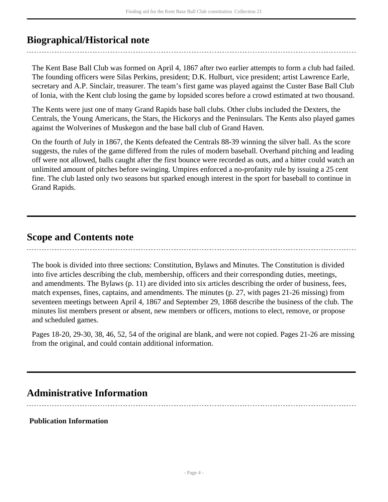## <span id="page-3-0"></span>**Biographical/Historical note**

The Kent Base Ball Club was formed on April 4, 1867 after two earlier attempts to form a club had failed. The founding officers were Silas Perkins, president; D.K. Hulburt, vice president; artist Lawrence Earle, secretary and A.P. Sinclair, treasurer. The team's first game was played against the Custer Base Ball Club of Ionia, with the Kent club losing the game by lopsided scores before a crowd estimated at two thousand.

The Kents were just one of many Grand Rapids base ball clubs. Other clubs included the Dexters, the Centrals, the Young Americans, the Stars, the Hickorys and the Peninsulars. The Kents also played games against the Wolverines of Muskegon and the base ball club of Grand Haven.

On the fourth of July in 1867, the Kents defeated the Centrals 88-39 winning the silver ball. As the score suggests, the rules of the game differed from the rules of modern baseball. Overhand pitching and leading off were not allowed, balls caught after the first bounce were recorded as outs, and a hitter could watch an unlimited amount of pitches before swinging. Umpires enforced a no-profanity rule by issuing a 25 cent fine. The club lasted only two seasons but sparked enough interest in the sport for baseball to continue in Grand Rapids.

### <span id="page-3-1"></span>**Scope and Contents note**

The book is divided into three sections: Constitution, Bylaws and Minutes. The Constitution is divided into five articles describing the club, membership, officers and their corresponding duties, meetings, and amendments. The Bylaws (p. 11) are divided into six articles describing the order of business, fees, match expenses, fines, captains, and amendments. The minutes (p. 27, with pages 21-26 missing) from seventeen meetings between April 4, 1867 and September 29, 1868 describe the business of the club. The minutes list members present or absent, new members or officers, motions to elect, remove, or propose and scheduled games.

Pages 18-20, 29-30, 38, 46, 52, 54 of the original are blank, and were not copied. Pages 21-26 are missing from the original, and could contain additional information.

### <span id="page-3-2"></span>**Administrative Information**

### **Publication Information**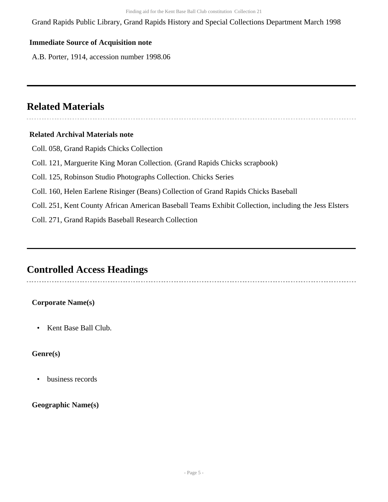Grand Rapids Public Library, Grand Rapids History and Special Collections Department March 1998

#### **Immediate Source of Acquisition note**

A.B. Porter, 1914, accession number 1998.06

## <span id="page-4-0"></span>**Related Materials**

### **Related Archival Materials note**

- Coll. 058, Grand Rapids Chicks Collection
- Coll. 121, Marguerite King Moran Collection. (Grand Rapids Chicks scrapbook)
- Coll. 125, Robinson Studio Photographs Collection. Chicks Series
- Coll. 160, Helen Earlene Risinger (Beans) Collection of Grand Rapids Chicks Baseball
- Coll. 251, Kent County African American Baseball Teams Exhibit Collection, including the Jess Elsters

Coll. 271, Grand Rapids Baseball Research Collection

### <span id="page-4-1"></span>**Controlled Access Headings**

### **Corporate Name(s)**

• Kent Base Ball Club.

### **Genre(s)**

• business records

### **Geographic Name(s)**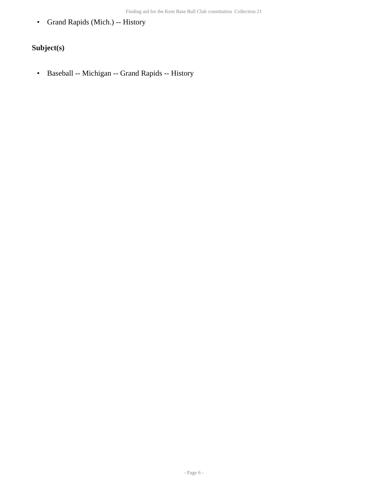• Grand Rapids (Mich.) -- History

### **Subject(s)**

• Baseball -- Michigan -- Grand Rapids -- History